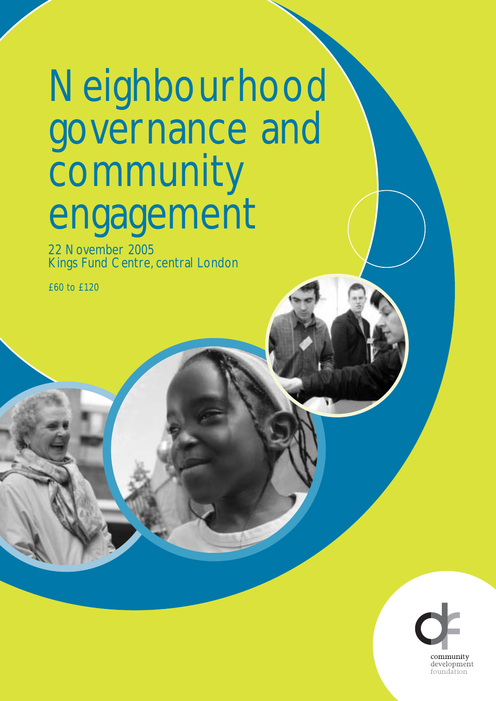# Neighbourhood governance and **community** engagement

22 November 2005 Kings Fund Centre, central London

£60 to £120

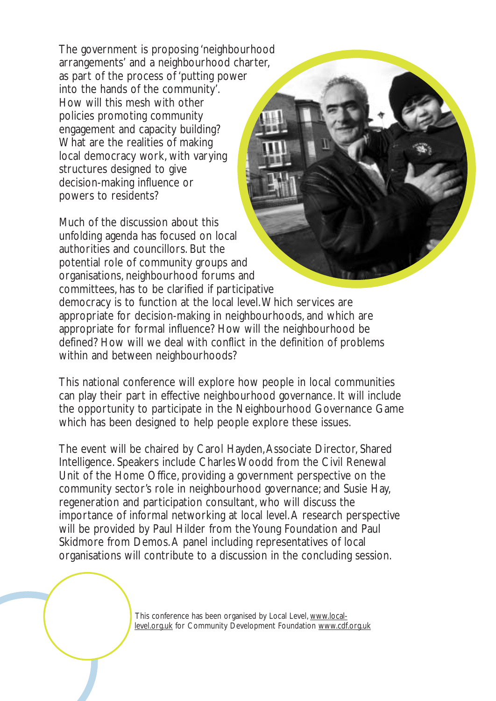The government is proposing 'neighbourhood arrangements' and a neighbourhood charter, as part of the process of 'putting power into the hands of the community'. How will this mesh with other policies promoting community engagement and capacity building? What are the realities of making local democracy work, with varying structures designed to give decision-making influence or powers to residents?

Much of the discussion about this unfolding agenda has focused on local authorities and councillors. But the potential role of community groups and organisations, neighbourhood forums and committees, has to be clarified if participative democracy is to function at the local level.Which services are appropriate for decision-making in neighbourhoods, and which are appropriate for formal influence? How will the neighbourhood be

defined? How will we deal with conflict in the definition of problems within and between neighbourhoods?

This national conference will explore how people in local communities can play their part in effective neighbourhood governance. It will include the opportunity to participate in the Neighbourhood Governance Game which has been designed to help people explore these issues.

The event will be chaired by Carol Hayden,Associate Director, Shared Intelligence. Speakers include Charles Woodd from the Civil Renewal Unit of the Home Office, providing a government perspective on the community sector's role in neighbourhood governance; and Susie Hay, regeneration and participation consultant, who will discuss the importance of informal networking at local level.A research perspective will be provided by Paul Hilder from the Young Foundation and Paul Skidmore from Demos.A panel including representatives of local organisations will contribute to a discussion in the concluding session.

> This conference has been organised by Local Level, www.locallevel.org.uk for Community Development Foundation www.cdf.org.uk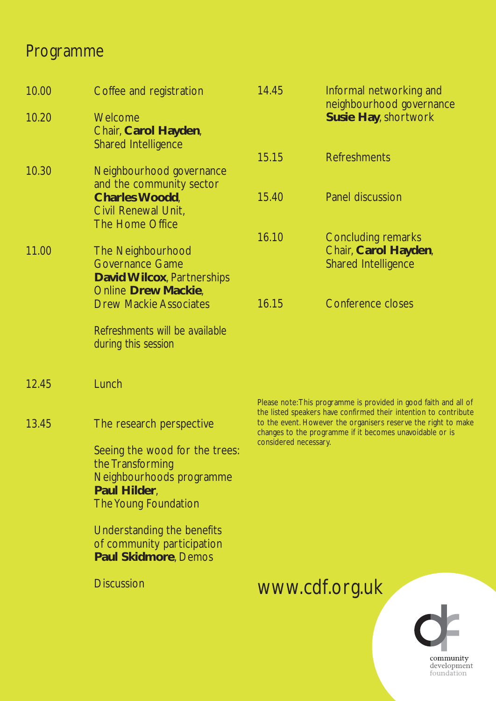## Programme

| 10.00 | Coffee and registration                                                                                                | 14.45                                                                                                                                               | Informal networking and<br>neighbourhood governance                                                                                  |
|-------|------------------------------------------------------------------------------------------------------------------------|-----------------------------------------------------------------------------------------------------------------------------------------------------|--------------------------------------------------------------------------------------------------------------------------------------|
| 10.20 | Welcome<br>Chair, Carol Hayden,<br><b>Shared Intelligence</b>                                                          |                                                                                                                                                     | <b>Susie Hay, shortwork</b>                                                                                                          |
|       |                                                                                                                        | 15.15                                                                                                                                               | <b>Refreshments</b>                                                                                                                  |
| 10.30 | Neighbourhood governance<br>and the community sector                                                                   |                                                                                                                                                     |                                                                                                                                      |
|       | <b>Charles Woodd,</b><br>Civil Renewal Unit,<br>The Home Office                                                        | 15.40                                                                                                                                               | <b>Panel discussion</b>                                                                                                              |
|       |                                                                                                                        | 16.10                                                                                                                                               | Concluding remarks                                                                                                                   |
| 11.00 | The Neighbourhood<br><b>Governance Game</b><br><b>David Wilcox, Partnerships</b>                                       |                                                                                                                                                     | Chair, Carol Hayden,<br><b>Shared Intelligence</b>                                                                                   |
|       | <b>Online Drew Mackie,</b><br><b>Drew Mackie Associates</b>                                                            | 16.15                                                                                                                                               | <b>Conference closes</b>                                                                                                             |
|       | Refreshments will be available<br>during this session                                                                  |                                                                                                                                                     |                                                                                                                                      |
| 12.45 | Lunch                                                                                                                  |                                                                                                                                                     |                                                                                                                                      |
|       |                                                                                                                        |                                                                                                                                                     | Please note: This programme is provided in good faith and all of<br>the listed speakers have confirmed their intention to contribute |
| 13.45 | The research perspective                                                                                               | to the event. However the organisers reserve the right to make<br>changes to the programme if it becomes unavoidable or is<br>considered necessary. |                                                                                                                                      |
|       | Seeing the wood for the trees:<br>the Transforming<br>Neighbourhoods programme<br>Paul Hilder,<br>The Young Foundation |                                                                                                                                                     |                                                                                                                                      |
|       | Understanding the benefits<br>of community participation<br><b>Paul Skidmore, Demos</b>                                |                                                                                                                                                     |                                                                                                                                      |
|       | <b>Discussion</b>                                                                                                      |                                                                                                                                                     | www.cdf.org.uk                                                                                                                       |